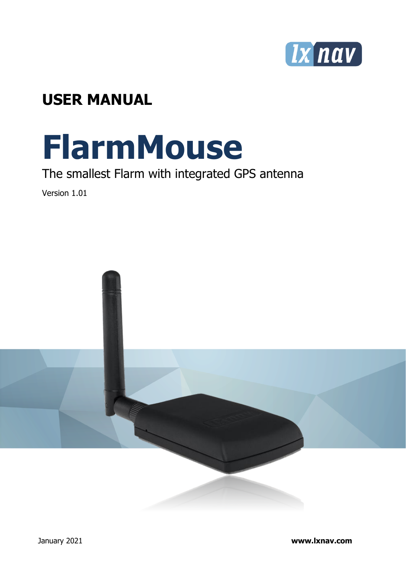

## **USER MANUAL**

# **FlarmMouse**

## The smallest Flarm with integrated GPS antenna

Version 1.01

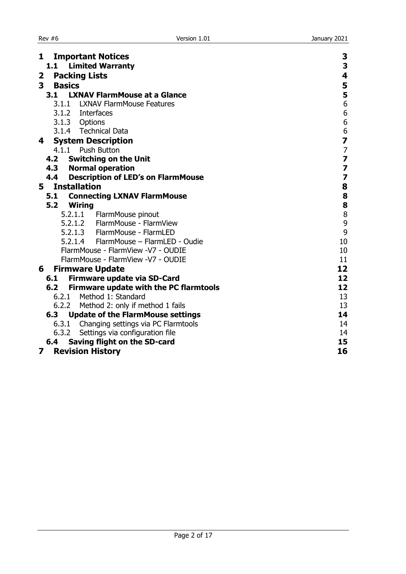| 1<br><b>Important Notices</b>                                                          | 3                                               |
|----------------------------------------------------------------------------------------|-------------------------------------------------|
| <b>Limited Warranty</b><br>1.1                                                         | 3                                               |
| <b>Packing Lists</b><br>2                                                              | 4                                               |
| 3<br><b>Basics</b>                                                                     | 5                                               |
| <b>LXNAV FlarmMouse at a Glance</b><br>3.1                                             | 5                                               |
| 3.1.1 LXNAV FlarmMouse Features                                                        | 6                                               |
| 3.1.2 Interfaces                                                                       | 6                                               |
| 3.1.3 Options                                                                          |                                                 |
| 3.1.4 Technical Data                                                                   | $\begin{array}{c} 6 \\ 6 \\ \hline \end{array}$ |
| <b>System Description</b><br>4                                                         |                                                 |
| 4.1.1 Push Button                                                                      | $\overline{7}$                                  |
| <b>Switching on the Unit</b><br>4.2                                                    | $\overline{\mathbf{z}}$                         |
| 4.3 Normal operation                                                                   | 7                                               |
| 4.4<br><b>Description of LED's on FlarmMouse</b>                                       | $\overline{\mathbf{z}}$                         |
| <b>Installation</b><br>5                                                               | 8                                               |
| <b>Connecting LXNAV FlarmMouse</b><br>5.1                                              | 8                                               |
| 5.2<br><b>Wiring</b>                                                                   | 8                                               |
| 5.2.1.1 FlarmMouse pinout                                                              | 8                                               |
| 5.2.1.2 FlarmMouse - FlarmView                                                         | 9                                               |
| 5.2.1.3 FlarmMouse - FlarmLED                                                          | 9                                               |
| 5.2.1.4 FlarmMouse - FlarmLED - Oudie                                                  | 10                                              |
| FlarmMouse - FlarmView -V7 - OUDIE                                                     | 10                                              |
| FlarmMouse - FlarmView -V7 - OUDIE                                                     | 11                                              |
| <b>Firmware Update</b><br>6                                                            | 12                                              |
| Firmware update via SD-Card<br>6.1                                                     | 12                                              |
| Firmware update with the PC flarmtools<br>6.2                                          | 12                                              |
| 6.2.1 Method 1: Standard                                                               | 13                                              |
| Method 2: only if method 1 fails<br>6.2.2                                              | 13                                              |
| <b>Update of the FlarmMouse settings</b><br>6.3                                        | 14<br>14                                        |
| 6.3.1 Changing settings via PC Flarmtools                                              | 14                                              |
| 6.3.2<br>Settings via configuration file<br><b>Saving flight on the SD-card</b><br>6.4 | 15                                              |
| 7                                                                                      | 16                                              |
| <b>Revision History</b>                                                                |                                                 |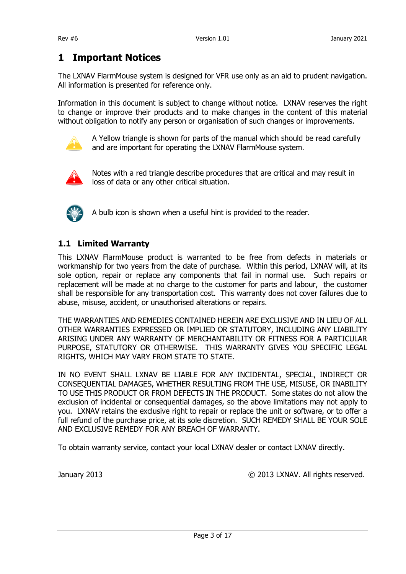### <span id="page-2-0"></span>**1 Important Notices**

The LXNAV FlarmMouse system is designed for VFR use only as an aid to prudent navigation. All information is presented for reference only.

Information in this document is subject to change without notice. LXNAV reserves the right to change or improve their products and to make changes in the content of this material without obligation to notify any person or organisation of such changes or improvements.



A Yellow triangle is shown for parts of the manual which should be read carefully and are important for operating the LXNAV FlarmMouse system.



Notes with a red triangle describe procedures that are critical and may result in loss of data or any other critical situation.



A bulb icon is shown when a useful hint is provided to the reader.

#### <span id="page-2-1"></span>**1.1 Limited Warranty**

This LXNAV FlarmMouse product is warranted to be free from defects in materials or workmanship for two years from the date of purchase. Within this period, LXNAV will, at its sole option, repair or replace any components that fail in normal use. Such repairs or replacement will be made at no charge to the customer for parts and labour, the customer shall be responsible for any transportation cost. This warranty does not cover failures due to abuse, misuse, accident, or unauthorised alterations or repairs.

THE WARRANTIES AND REMEDIES CONTAINED HEREIN ARE EXCLUSIVE AND IN LIEU OF ALL OTHER WARRANTIES EXPRESSED OR IMPLIED OR STATUTORY, INCLUDING ANY LIABILITY ARISING UNDER ANY WARRANTY OF MERCHANTABILITY OR FITNESS FOR A PARTICULAR PURPOSE, STATUTORY OR OTHERWISE. THIS WARRANTY GIVES YOU SPECIFIC LEGAL RIGHTS, WHICH MAY VARY FROM STATE TO STATE.

IN NO EVENT SHALL LXNAV BE LIABLE FOR ANY INCIDENTAL, SPECIAL, INDIRECT OR CONSEQUENTIAL DAMAGES, WHETHER RESULTING FROM THE USE, MISUSE, OR INABILITY TO USE THIS PRODUCT OR FROM DEFECTS IN THE PRODUCT. Some states do not allow the exclusion of incidental or consequential damages, so the above limitations may not apply to you. LXNAV retains the exclusive right to repair or replace the unit or software, or to offer a full refund of the purchase price, at its sole discretion. SUCH REMEDY SHALL BE YOUR SOLE AND EXCLUSIVE REMEDY FOR ANY BREACH OF WARRANTY.

To obtain warranty service, contact your local LXNAV dealer or contact LXNAV directly.

January 2013 © 2013 LXNAV. All rights reserved.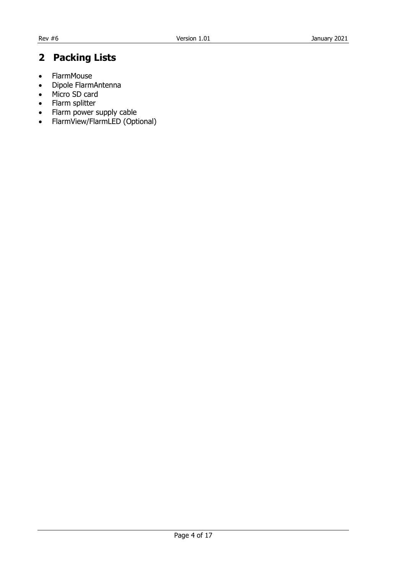## <span id="page-3-0"></span>**2 Packing Lists**

- FlarmMouse
- Dipole FlarmAntenna
- Micro SD card
- Flarm splitter
- Flarm power supply cable
- FlarmView/FlarmLED (Optional)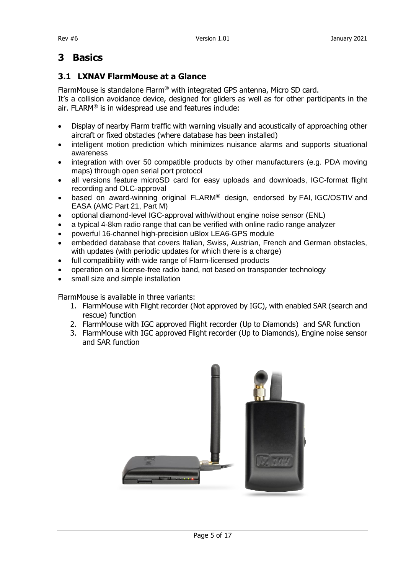## <span id="page-4-0"></span>**3 Basics**

#### <span id="page-4-1"></span>**3.1 LXNAV FlarmMouse at a Glance**

FlarmMouse is standalone Flarm® with integrated GPS antenna, Micro SD card.

It's a collision avoidance device, designed for gliders as well as for other participants in the air. FLARM® is in widespread use and features include:

- Display of nearby Flarm traffic with warning visually and acoustically of approaching other aircraft or fixed obstacles (where database has been installed)
- intelligent motion prediction which minimizes nuisance alarms and supports situational awareness
- integration with over 50 compatible products by other manufacturers (e.g. PDA moving maps) through [open serial port protocol](http://www.flarm.com/support/manual/index.html)
- all versions feature microSD card for easy uploads and downloads, IGC-format flight recording and OLC-approval
- based on award-winning original FLARM<sup>®</sup> design, endorsed by [FAI,](http://www.flarm.com/news/fai_orleans.pdf) [IGC/OSTIV](http://www.flarm.com/news/ostiv.pdf) and EASA (AMC [Part 21,](http://www.flarm.com/news/Agency%20Decision%20Part%2021%20-%20Standard%20Parts.pdf) [Part M\)](http://www.flarm.com/news/Agency%20Decision%20Part%20M%20-%20Standard%20Parts.pdf)
- optional diamond-level [IGC-approval](http://www.fai.org/gliding/system/files/flarm-igc.pdf) with/without engine noise sensor (ENL)
- a typical 4-8km radio range that can be verified with [online radio range analyzer](http://www.flarm.com/support/analyze/index_en.html)
- powerful 16-channel high-precision uBlox [LEA6-GPS module](http://www.u-blox.com/products/lea_4p.html)
- embedded database that covers Italian, Swiss, Austrian, French and German obstacles, with [updates \(with periodic updates for which there is a charge\)](http://www.flarm.com/support/updates/index_en.html)
- full compatibility with wide range of Flarm-licensed products
- operation on a license-free radio band, not based on transponder technology
- small [size](http://www.flarm.com/support/manual/flarm_drawings.pdf) and simple installation

FlarmMouse is available in three variants:

- 1. FlarmMouse with Flight recorder (Not approved by IGC), with enabled SAR (search and rescue) function
- 2. FlarmMouse with IGC approved Flight recorder (Up to Diamonds) and SAR function
- 3. FlarmMouse with IGC approved Flight recorder (Up to Diamonds), Engine noise sensor and SAR function

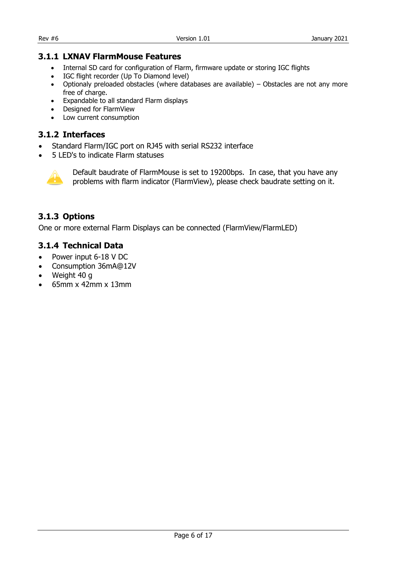#### <span id="page-5-0"></span>**3.1.1 LXNAV FlarmMouse Features**

- Internal SD card for configuration of Flarm, firmware update or storing IGC flights
- IGC flight recorder (Up To Diamond level)
- Optionaly preloaded obstacles (where databases are available) Obstacles are not any more free of charge.
- Expandable to all standard Flarm displays
- Designed for FlarmView
- Low current consumption

#### <span id="page-5-1"></span>**3.1.2 Interfaces**

- Standard Flarm/IGC port on RJ45 with serial RS232 interface
- 5 LED's to indicate Flarm statuses



Default baudrate of FlarmMouse is set to 19200bps. In case, that you have any problems with flarm indicator (FlarmView), please check baudrate setting on it.

#### <span id="page-5-2"></span>**3.1.3 Options**

One or more external Flarm Displays can be connected (FlarmView/FlarmLED)

#### <span id="page-5-3"></span>**3.1.4 Technical Data**

- Power input 6-18 V DC
- Consumption 36mA@12V
- Weight 40 g
- $\bullet$  65mm x 42mm x 13mm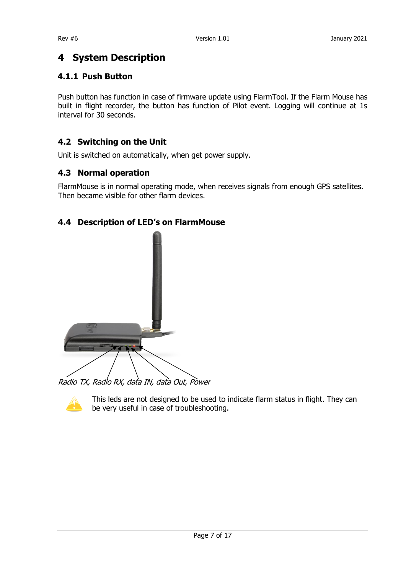## <span id="page-6-0"></span>**4 System Description**

#### <span id="page-6-1"></span>**4.1.1 Push Button**

Push button has function in case of firmware update using FlarmTool. If the Flarm Mouse has built in flight recorder, the button has function of Pilot event. Logging will continue at 1s interval for 30 seconds.

#### <span id="page-6-2"></span>**4.2 Switching on the Unit**

Unit is switched on automatically, when get power supply.

#### <span id="page-6-3"></span>**4.3 Normal operation**

FlarmMouse is in normal operating mode, when receives signals from enough GPS satellites. Then became visible for other flarm devices.

#### <span id="page-6-4"></span>**4.4 Description of LED's on FlarmMouse**



Radio TX, Radio RX, data IN, data Out, Power



This leds are not designed to be used to indicate flarm status in flight. They can be very useful in case of troubleshooting.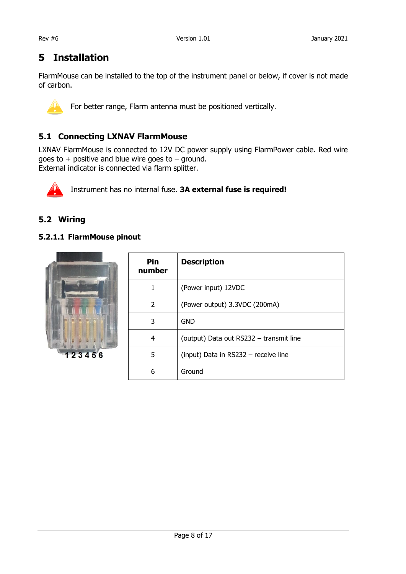### <span id="page-7-0"></span>**5 Installation**

FlarmMouse can be installed to the top of the instrument panel or below, if cover is not made of carbon.



For better range, Flarm antenna must be positioned vertically.

#### <span id="page-7-1"></span>**5.1 Connecting LXNAV FlarmMouse**

LXNAV FlarmMouse is connected to 12V DC power supply using FlarmPower cable. Red wire goes to  $+$  positive and blue wire goes to  $-$  ground. External indicator is connected via flarm splitter.



Instrument has no internal fuse. **3A external fuse is required!**

#### <span id="page-7-2"></span>**5.2 Wiring**

#### <span id="page-7-3"></span>**5.2.1.1 FlarmMouse pinout**



| Pin<br>number | <b>Description</b>                      |
|---------------|-----------------------------------------|
| 1             | (Power input) 12VDC                     |
| 2             | (Power output) 3.3VDC (200mA)           |
| 3             | <b>GND</b>                              |
| 4             | (output) Data out RS232 - transmit line |
| 5             | (input) Data in RS232 - receive line    |
| 6             | Ground                                  |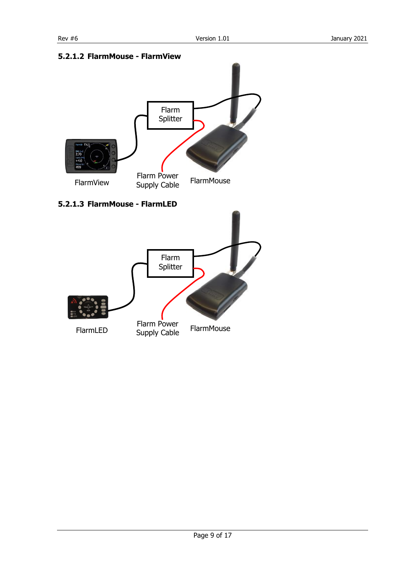

#### <span id="page-8-0"></span>**5.2.1.2 FlarmMouse - FlarmView**

#### <span id="page-8-1"></span>**5.2.1.3 FlarmMouse - FlarmLED**

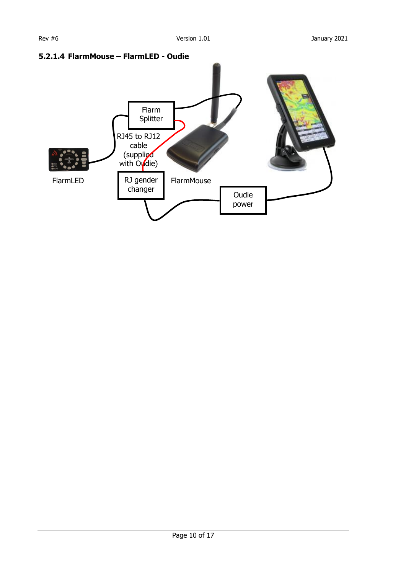<span id="page-9-1"></span>

#### <span id="page-9-0"></span>**5.2.1.4 FlarmMouse – FlarmLED - Oudie**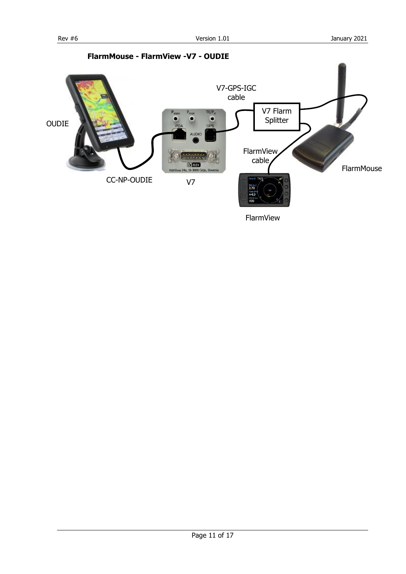<span id="page-10-0"></span>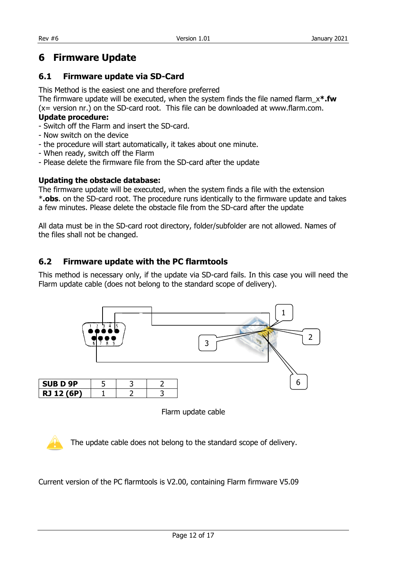## <span id="page-11-0"></span>**6 Firmware Update**

#### <span id="page-11-1"></span>**6.1 Firmware update via SD-Card**

This Method is the easiest one and therefore preferred

The firmware update will be executed, when the system finds the file named flarm\_x**\*.fw** (x= version nr.) on the SD-card root. This file can be downloaded at www.flarm.com.

#### **Update procedure:**

- Switch off the Flarm and insert the SD-card.
- Now switch on the device
- the procedure will start automatically, it takes about one minute.
- When ready, switch off the Flarm
- Please delete the firmware file from the SD-card after the update

#### **Updating the obstacle database:**

The firmware update will be executed, when the system finds a file with the extension \***.obs**. on the SD-card root. The procedure runs identically to the firmware update and takes a few minutes. Please delete the obstacle file from the SD-card after the update

All data must be in the SD-card root directory, folder/subfolder are not allowed. Names of the files shall not be changed.

#### <span id="page-11-2"></span>**6.2 Firmware update with the PC flarmtools**

This method is necessary only, if the update via SD-card fails. In this case you will need the Flarm update cable (does not belong to the standard scope of delivery).



Flarm update cable

The update cable does not belong to the standard scope of delivery.

Current version of the PC flarmtools is V2.00, containing Flarm firmware V5.09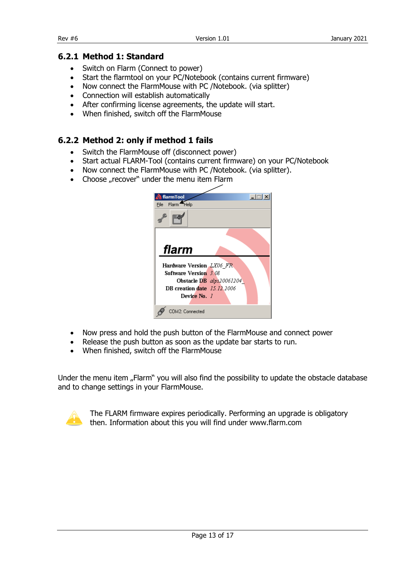#### <span id="page-12-0"></span>**6.2.1 Method 1: Standard**

- Switch on Flarm (Connect to power)
- Start the flarmtool on your PC/Notebook (contains current firmware)
- Now connect the FlarmMouse with PC /Notebook. (via splitter)
- Connection will establish automatically
- After confirming license agreements, the update will start.
- When finished, switch off the FlarmMouse

#### <span id="page-12-1"></span>**6.2.2 Method 2: only if method 1 fails**

- Switch the FlarmMouse off (disconnect power)
- Start actual FLARM-Tool (contains current firmware) on your PC/Notebook
- Now connect the FlarmMouse with PC /Notebook. (via splitter).
- Choose "recover" under the menu item Flarm

| flarmTool                          | $\Box$                   |
|------------------------------------|--------------------------|
| File Flarm <sup>4</sup> Help       |                          |
|                                    |                          |
|                                    |                          |
|                                    |                          |
| flarm                              |                          |
|                                    |                          |
| <b>Hardware Version LX06 FR</b>    |                          |
| <b>Software Version 3.08</b>       |                          |
|                                    | Obstacle DB alps20061204 |
| <b>DB</b> creation date 15.12.2006 |                          |
| Device No. 7                       |                          |
|                                    |                          |
| COM2: Connected                    |                          |

- Now press and hold the push button of the FlarmMouse and connect power
- Release the push button as soon as the update bar starts to run.
- When finished, switch off the FlarmMouse

Under the menu item "Flarm" you will also find the possibility to update the obstacle database and to change settings in your FlarmMouse.



The FLARM firmware expires periodically. Performing an upgrade is obligatory then. Information about this you will find under www.flarm.com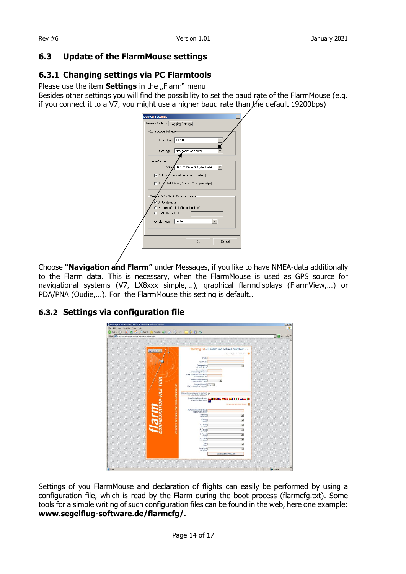#### <span id="page-13-0"></span>**6.3 Update of the FlarmMouse settings**

#### <span id="page-13-1"></span>**6.3.1 Changing settings via PC Flarmtools**

Please use the item **Settings** in the "Flarm" menu

Besides other settings you will find the possibility to set the baud rate of the FlarmMouse (e.g. if you connect it to a V7, you might use a higher baud rate than  $x$  he default 19200bps)

| <b>Device Settings</b><br>General Settings   Logging Settings |                                            |
|---------------------------------------------------------------|--------------------------------------------|
| Connection Settings                                           |                                            |
| Baud Rate 19200                                               |                                            |
|                                                               |                                            |
|                                                               | Messages Navigation and flarm              |
| Radio Settings                                                |                                            |
| Area.                                                         | Rest of the World (868,0-868,6             |
|                                                               | Activate Transmit on Ground (default)      |
|                                                               | Extended Privacy (for intl. Championships) |
|                                                               |                                            |
| Device ID for Radio Communication                             |                                            |
| Auto (default)                                                | C Hopping (for intl. Championships)        |
| C ICAO Aircraft ID                                            |                                            |
| Vehicle Type                                                  | Glider                                     |
|                                                               |                                            |
|                                                               |                                            |
|                                                               | Cancel<br>0k                               |
|                                                               |                                            |

Choose **"Navigation and Flarm"** under Messages, if you like to have NMEA-data additionally to the Flarm data. This is necessary, when the FlarmMouse is used as GPS source for navigational systems (V7, LX8xxx simple,…), graphical flarmdisplays (FlarmView,…) or PDA/PNA (Oudie,…). For the FlarmMouse this setting is default..

#### <span id="page-13-2"></span>**6.3.2 Settings via configuration file**



Settings of you FlarmMouse and declaration of flights can easily be performed by using a configuration file, which is read by the Flarm during the boot process (flarmcfg.txt). Some tools for a simple writing of such configuration files can be found in the web, here one example: **www.segelflug-software.de/flarmcfg/.**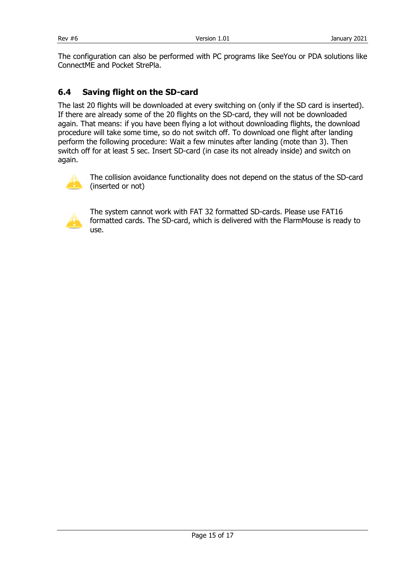The configuration can also be performed with PC programs like SeeYou or PDA solutions like ConnectME and Pocket StrePla.

#### <span id="page-14-0"></span>**6.4 Saving flight on the SD-card**

The last 20 flights will be downloaded at every switching on (only if the SD card is inserted). If there are already some of the 20 flights on the SD-card, they will not be downloaded again. That means: if you have been flying a lot without downloading flights, the download procedure will take some time, so do not switch off. To download one flight after landing perform the following procedure: Wait a few minutes after landing (mote than 3). Then switch off for at least 5 sec. Insert SD-card (in case its not already inside) and switch on again.



The collision avoidance functionality does not depend on the status of the SD-card (inserted or not)



The system cannot work with FAT 32 formatted SD-cards. Please use FAT16 formatted cards. The SD-card, which is delivered with the FlarmMouse is ready to use.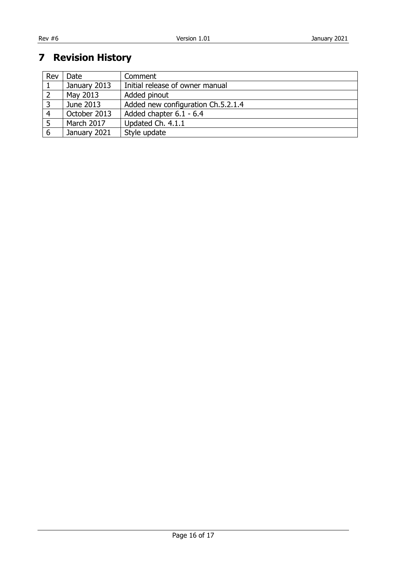## <span id="page-15-0"></span>**Revision History**

| Rev | Date         | Comment                            |
|-----|--------------|------------------------------------|
|     | January 2013 | Initial release of owner manual    |
|     | May 2013     | Added pinout                       |
|     | June 2013    | Added new configuration Ch.5.2.1.4 |
| 4   | October 2013 | Added chapter 6.1 - 6.4            |
|     | March 2017   | Updated Ch. 4.1.1                  |
| 6   | January 2021 | Style update                       |